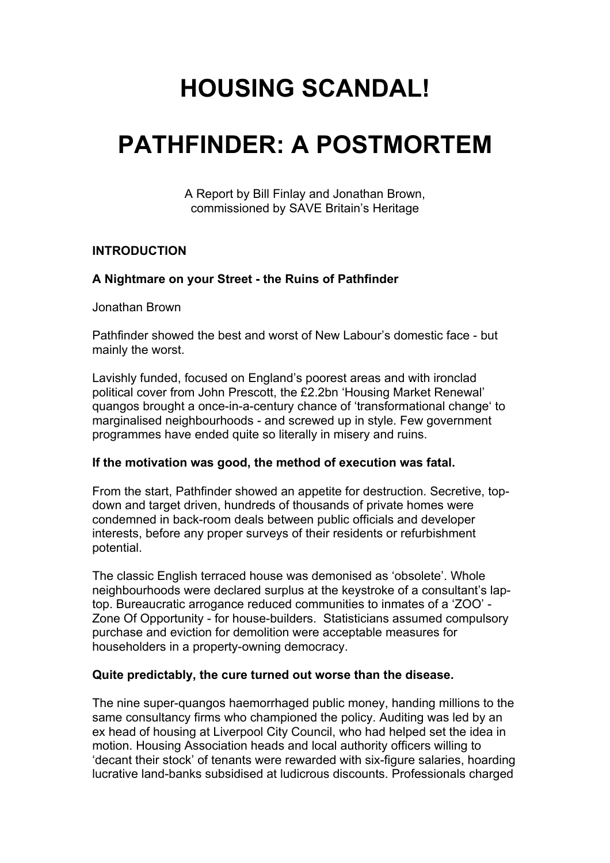# **HOUSING SCANDAL!**

# **PATHFINDER: A POSTMORTEM**

A Report by Bill Finlay and Jonathan Brown, commissioned by SAVE Britain's Heritage

## **INTRODUCTION**

## **A Nightmare on your Street - the Ruins of Pathfinder**

Jonathan Brown

Pathfinder showed the best and worst of New Labour's domestic face - but mainly the worst.

Lavishly funded, focused on England's poorest areas and with ironclad political cover from John Prescott, the £2.2bn 'Housing Market Renewal' quangos brought a once-in-a-century chance of 'transformational change' to marginalised neighbourhoods - and screwed up in style. Few government programmes have ended quite so literally in misery and ruins.

### **If the motivation was good, the method of execution was fatal.**

From the start, Pathfinder showed an appetite for destruction. Secretive, topdown and target driven, hundreds of thousands of private homes were condemned in back-room deals between public officials and developer interests, before any proper surveys of their residents or refurbishment potential.

The classic English terraced house was demonised as 'obsolete'. Whole neighbourhoods were declared surplus at the keystroke of a consultant's laptop. Bureaucratic arrogance reduced communities to inmates of a 'ZOO' - Zone Of Opportunity - for house-builders. Statisticians assumed compulsory purchase and eviction for demolition were acceptable measures for householders in a property-owning democracy.

### **Quite predictably, the cure turned out worse than the disease.**

The nine super-quangos haemorrhaged public money, handing millions to the same consultancy firms who championed the policy. Auditing was led by an ex head of housing at Liverpool City Council, who had helped set the idea in motion. Housing Association heads and local authority officers willing to 'decant their stock' of tenants were rewarded with six-figure salaries, hoarding lucrative land-banks subsidised at ludicrous discounts. Professionals charged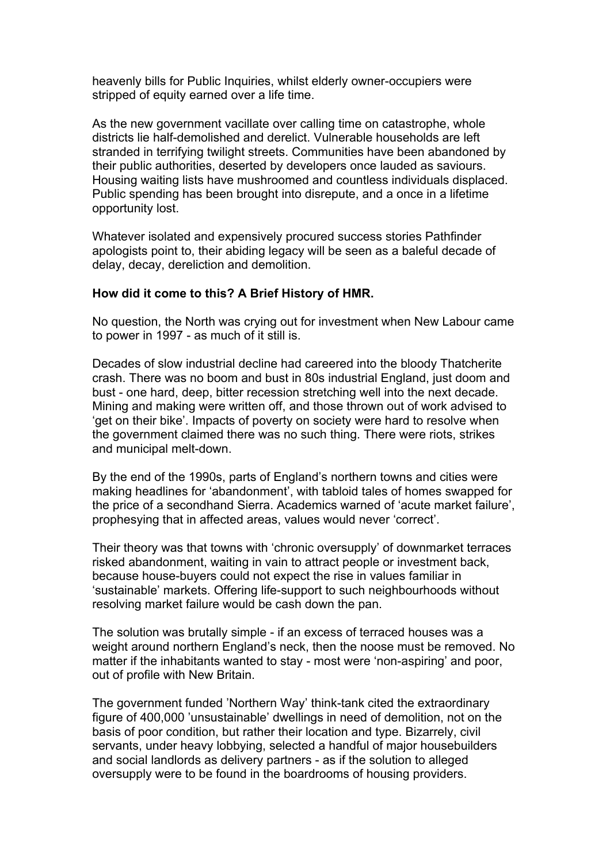heavenly bills for Public Inquiries, whilst elderly owner-occupiers were stripped of equity earned over a life time.

As the new government vacillate over calling time on catastrophe, whole districts lie half-demolished and derelict. Vulnerable households are left stranded in terrifying twilight streets. Communities have been abandoned by their public authorities, deserted by developers once lauded as saviours. Housing waiting lists have mushroomed and countless individuals displaced. Public spending has been brought into disrepute, and a once in a lifetime opportunity lost.

Whatever isolated and expensively procured success stories Pathfinder apologists point to, their abiding legacy will be seen as a baleful decade of delay, decay, dereliction and demolition.

#### **How did it come to this? A Brief History of HMR.**

No question, the North was crying out for investment when New Labour came to power in 1997 - as much of it still is.

Decades of slow industrial decline had careered into the bloody Thatcherite crash. There was no boom and bust in 80s industrial England, just doom and bust - one hard, deep, bitter recession stretching well into the next decade. Mining and making were written off, and those thrown out of work advised to 'get on their bike'. Impacts of poverty on society were hard to resolve when the government claimed there was no such thing. There were riots, strikes and municipal melt-down.

By the end of the 1990s, parts of England's northern towns and cities were making headlines for 'abandonment', with tabloid tales of homes swapped for the price of a secondhand Sierra. Academics warned of 'acute market failure', prophesying that in affected areas, values would never 'correct'.

Their theory was that towns with 'chronic oversupply' of downmarket terraces risked abandonment, waiting in vain to attract people or investment back, because house-buyers could not expect the rise in values familiar in 'sustainable' markets. Offering life-support to such neighbourhoods without resolving market failure would be cash down the pan.

The solution was brutally simple - if an excess of terraced houses was a weight around northern England's neck, then the noose must be removed. No matter if the inhabitants wanted to stay - most were 'non-aspiring' and poor, out of profile with New Britain.

The government funded 'Northern Way' think-tank cited the extraordinary figure of 400,000 'unsustainable' dwellings in need of demolition, not on the basis of poor condition, but rather their location and type. Bizarrely, civil servants, under heavy lobbying, selected a handful of major housebuilders and social landlords as delivery partners - as if the solution to alleged oversupply were to be found in the boardrooms of housing providers.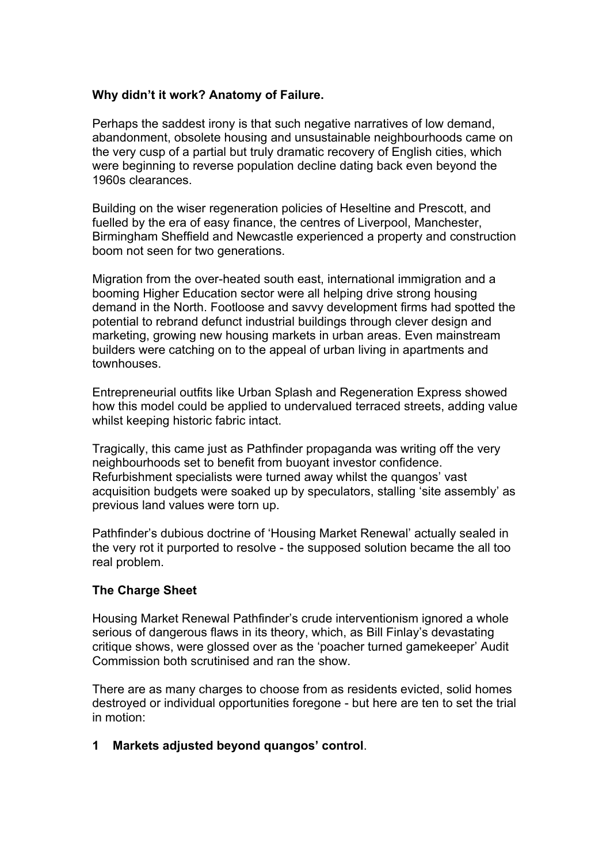### **Why didn't it work? Anatomy of Failure.**

Perhaps the saddest irony is that such negative narratives of low demand, abandonment, obsolete housing and unsustainable neighbourhoods came on the very cusp of a partial but truly dramatic recovery of English cities, which were beginning to reverse population decline dating back even beyond the 1960s clearances.

Building on the wiser regeneration policies of Heseltine and Prescott, and fuelled by the era of easy finance, the centres of Liverpool, Manchester, Birmingham Sheffield and Newcastle experienced a property and construction boom not seen for two generations.

Migration from the over-heated south east, international immigration and a booming Higher Education sector were all helping drive strong housing demand in the North. Footloose and savvy development firms had spotted the potential to rebrand defunct industrial buildings through clever design and marketing, growing new housing markets in urban areas. Even mainstream builders were catching on to the appeal of urban living in apartments and townhouses.

Entrepreneurial outfits like Urban Splash and Regeneration Express showed how this model could be applied to undervalued terraced streets, adding value whilst keeping historic fabric intact.

Tragically, this came just as Pathfinder propaganda was writing off the very neighbourhoods set to benefit from buoyant investor confidence. Refurbishment specialists were turned away whilst the quangos' vast acquisition budgets were soaked up by speculators, stalling 'site assembly' as previous land values were torn up.

Pathfinder's dubious doctrine of 'Housing Market Renewal' actually sealed in the very rot it purported to resolve - the supposed solution became the all too real problem.

### **The Charge Sheet**

Housing Market Renewal Pathfinder's crude interventionism ignored a whole serious of dangerous flaws in its theory, which, as Bill Finlay's devastating critique shows, were glossed over as the 'poacher turned gamekeeper' Audit Commission both scrutinised and ran the show.

There are as many charges to choose from as residents evicted, solid homes destroyed or individual opportunities foregone - but here are ten to set the trial in motion:

### **1 Markets adjusted beyond quangos' control**.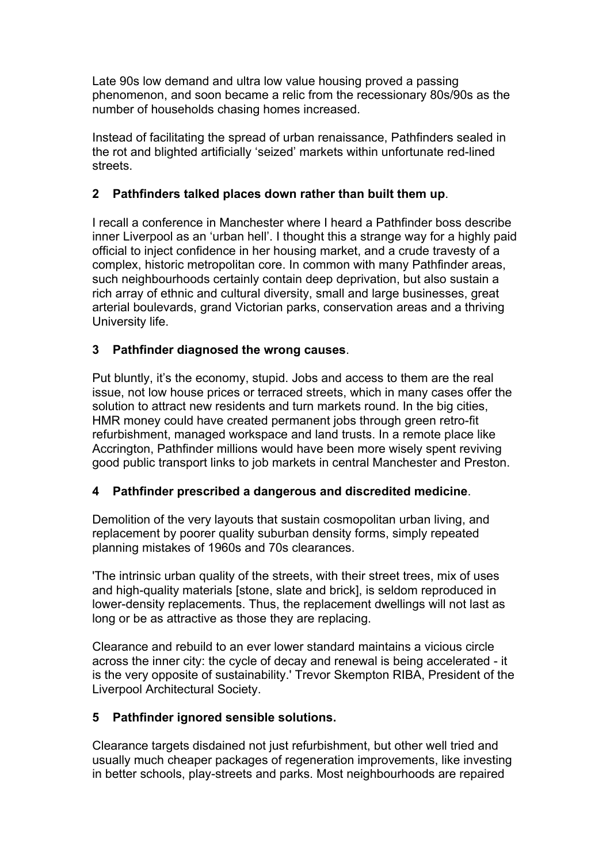Late 90s low demand and ultra low value housing proved a passing phenomenon, and soon became a relic from the recessionary 80s/90s as the number of households chasing homes increased.

Instead of facilitating the spread of urban renaissance, Pathfinders sealed in the rot and blighted artificially 'seized' markets within unfortunate red-lined streets.

# **2 Pathfinders talked places down rather than built them up**.

I recall a conference in Manchester where I heard a Pathfinder boss describe inner Liverpool as an 'urban hell'. I thought this a strange way for a highly paid official to inject confidence in her housing market, and a crude travesty of a complex, historic metropolitan core. In common with many Pathfinder areas, such neighbourhoods certainly contain deep deprivation, but also sustain a rich array of ethnic and cultural diversity, small and large businesses, great arterial boulevards, grand Victorian parks, conservation areas and a thriving University life.

# **3 Pathfinder diagnosed the wrong causes**.

Put bluntly, it's the economy, stupid. Jobs and access to them are the real issue, not low house prices or terraced streets, which in many cases offer the solution to attract new residents and turn markets round. In the big cities, HMR money could have created permanent jobs through green retro-fit refurbishment, managed workspace and land trusts. In a remote place like Accrington, Pathfinder millions would have been more wisely spent reviving good public transport links to job markets in central Manchester and Preston.

# **4 Pathfinder prescribed a dangerous and discredited medicine**.

Demolition of the very layouts that sustain cosmopolitan urban living, and replacement by poorer quality suburban density forms, simply repeated planning mistakes of 1960s and 70s clearances.

'The intrinsic urban quality of the streets, with their street trees, mix of uses and high-quality materials [stone, slate and brick], is seldom reproduced in lower-density replacements. Thus, the replacement dwellings will not last as long or be as attractive as those they are replacing.

Clearance and rebuild to an ever lower standard maintains a vicious circle across the inner city: the cycle of decay and renewal is being accelerated - it is the very opposite of sustainability.' Trevor Skempton RIBA, President of the Liverpool Architectural Society.

# **5 Pathfinder ignored sensible solutions.**

Clearance targets disdained not just refurbishment, but other well tried and usually much cheaper packages of regeneration improvements, like investing in better schools, play-streets and parks. Most neighbourhoods are repaired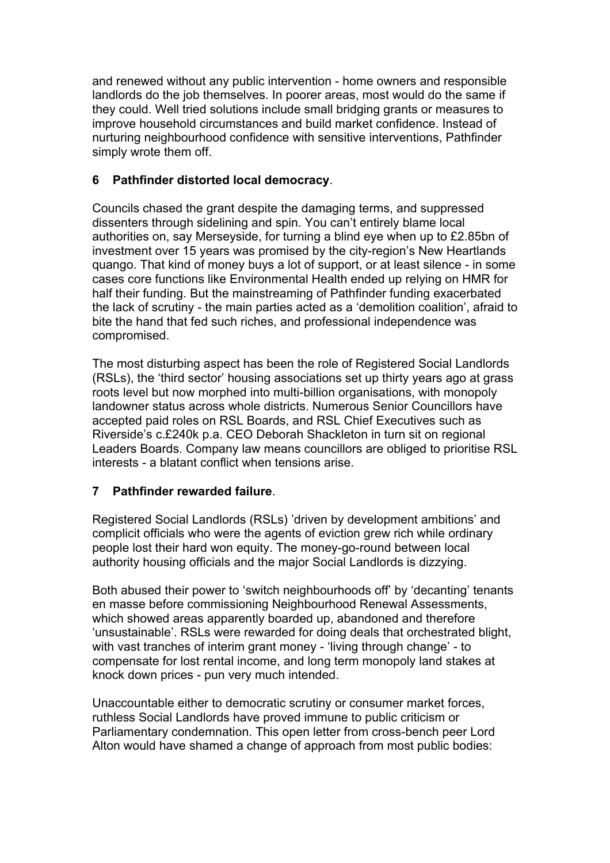and renewed without any public intervention - home owners and responsible landlords do the job themselves. In poorer areas, most would do the same if they could. Well tried solutions include small bridging grants or measures to improve household circumstances and build market confidence. Instead of nurturing neighbourhood confidence with sensitive interventions, Pathfinder simply wrote them off.

# **6 Pathfinder distorted local democracy**.

Councils chased the grant despite the damaging terms, and suppressed dissenters through sidelining and spin. You can't entirely blame local authorities on, say Merseyside, for turning a blind eye when up to £2.85bn of investment over 15 years was promised by the city-region's New Heartlands quango. That kind of money buys a lot of support, or at least silence - in some cases core functions like Environmental Health ended up relying on HMR for half their funding. But the mainstreaming of Pathfinder funding exacerbated the lack of scrutiny - the main parties acted as a 'demolition coalition', afraid to bite the hand that fed such riches, and professional independence was compromised.

The most disturbing aspect has been the role of Registered Social Landlords (RSLs), the 'third sector' housing associations set up thirty years ago at grass roots level but now morphed into multi-billion organisations, with monopoly landowner status across whole districts. Numerous Senior Councillors have accepted paid roles on RSL Boards, and RSL Chief Executives such as Riverside's c.£240k p.a. CEO Deborah Shackleton in turn sit on regional Leaders Boards. Company law means councillors are obliged to prioritise RSL interests - a blatant conflict when tensions arise.

# **7 Pathfinder rewarded failure**.

Registered Social Landlords (RSLs) 'driven by development ambitions' and complicit officials who were the agents of eviction grew rich while ordinary people lost their hard won equity. The money-go-round between local authority housing officials and the major Social Landlords is dizzying.

Both abused their power to 'switch neighbourhoods off' by 'decanting' tenants en masse before commissioning Neighbourhood Renewal Assessments, which showed areas apparently boarded up, abandoned and therefore 'unsustainable'. RSLs were rewarded for doing deals that orchestrated blight, with vast tranches of interim grant money - 'living through change' - to compensate for lost rental income, and long term monopoly land stakes at knock down prices - pun very much intended.

Unaccountable either to democratic scrutiny or consumer market forces, ruthless Social Landlords have proved immune to public criticism or Parliamentary condemnation. This open letter from cross-bench peer Lord Alton would have shamed a change of approach from most public bodies: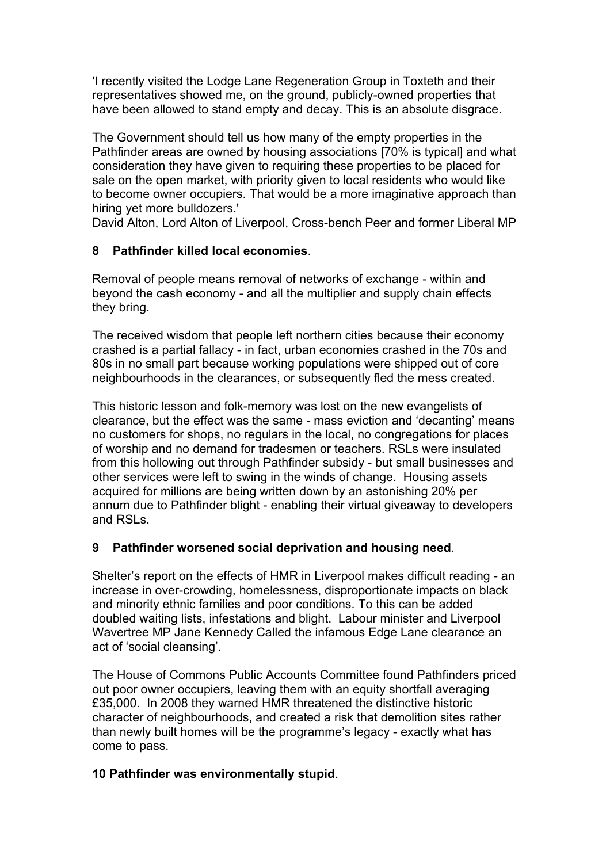'I recently visited the Lodge Lane Regeneration Group in Toxteth and their representatives showed me, on the ground, publicly-owned properties that have been allowed to stand empty and decay. This is an absolute disgrace.

The Government should tell us how many of the empty properties in the Pathfinder areas are owned by housing associations [70% is typical] and what consideration they have given to requiring these properties to be placed for sale on the open market, with priority given to local residents who would like to become owner occupiers. That would be a more imaginative approach than hiring yet more bulldozers.'

David Alton, Lord Alton of Liverpool, Cross-bench Peer and former Liberal MP

# **8 Pathfinder killed local economies**.

Removal of people means removal of networks of exchange - within and beyond the cash economy - and all the multiplier and supply chain effects they bring.

The received wisdom that people left northern cities because their economy crashed is a partial fallacy - in fact, urban economies crashed in the 70s and 80s in no small part because working populations were shipped out of core neighbourhoods in the clearances, or subsequently fled the mess created.

This historic lesson and folk-memory was lost on the new evangelists of clearance, but the effect was the same - mass eviction and 'decanting' means no customers for shops, no regulars in the local, no congregations for places of worship and no demand for tradesmen or teachers. RSLs were insulated from this hollowing out through Pathfinder subsidy - but small businesses and other services were left to swing in the winds of change. Housing assets acquired for millions are being written down by an astonishing 20% per annum due to Pathfinder blight - enabling their virtual giveaway to developers and RSLs.

# **9 Pathfinder worsened social deprivation and housing need**.

Shelter's report on the effects of HMR in Liverpool makes difficult reading - an increase in over-crowding, homelessness, disproportionate impacts on black and minority ethnic families and poor conditions. To this can be added doubled waiting lists, infestations and blight. Labour minister and Liverpool Wavertree MP Jane Kennedy Called the infamous Edge Lane clearance an act of 'social cleansing'.

The House of Commons Public Accounts Committee found Pathfinders priced out poor owner occupiers, leaving them with an equity shortfall averaging £35,000. In 2008 they warned HMR threatened the distinctive historic character of neighbourhoods, and created a risk that demolition sites rather than newly built homes will be the programme's legacy - exactly what has come to pass.

# **10 Pathfinder was environmentally stupid**.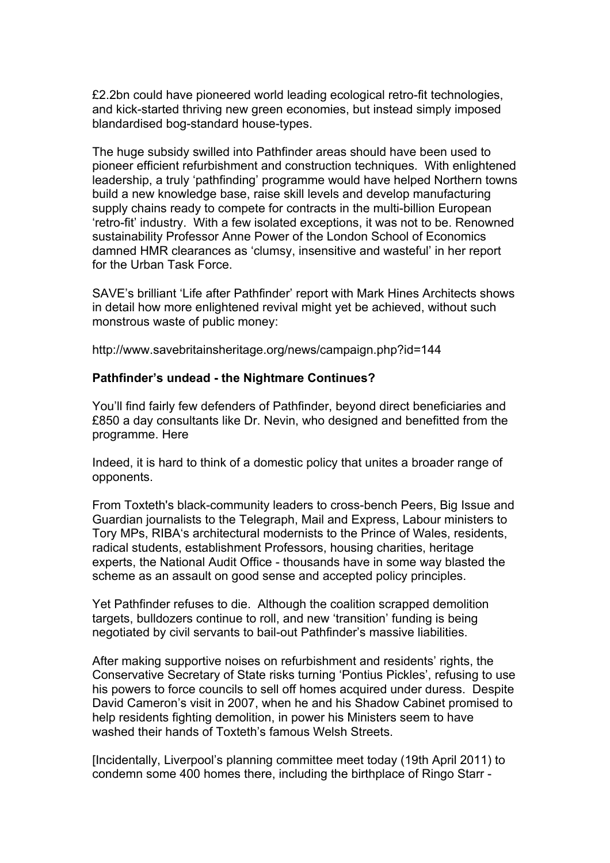£2.2bn could have pioneered world leading ecological retro-fit technologies, and kick-started thriving new green economies, but instead simply imposed blandardised bog-standard house-types.

The huge subsidy swilled into Pathfinder areas should have been used to pioneer efficient refurbishment and construction techniques. With enlightened leadership, a truly 'pathfinding' programme would have helped Northern towns build a new knowledge base, raise skill levels and develop manufacturing supply chains ready to compete for contracts in the multi-billion European 'retro-fit' industry. With a few isolated exceptions, it was not to be. Renowned sustainability Professor Anne Power of the London School of Economics damned HMR clearances as 'clumsy, insensitive and wasteful' in her report for the Urban Task Force.

SAVE's brilliant 'Life after Pathfinder' report with Mark Hines Architects shows in detail how more enlightened revival might yet be achieved, without such monstrous waste of public money:

http://www.savebritainsheritage.org/news/campaign.php?id=144

#### **Pathfinder's undead - the Nightmare Continues?**

You'll find fairly few defenders of Pathfinder, beyond direct beneficiaries and £850 a day consultants like Dr. Nevin, who designed and benefitted from the programme. Here

Indeed, it is hard to think of a domestic policy that unites a broader range of opponents.

From Toxteth's black-community leaders to cross-bench Peers, Big Issue and Guardian journalists to the Telegraph, Mail and Express, Labour ministers to Tory MPs, RIBA's architectural modernists to the Prince of Wales, residents, radical students, establishment Professors, housing charities, heritage experts, the National Audit Office - thousands have in some way blasted the scheme as an assault on good sense and accepted policy principles.

Yet Pathfinder refuses to die. Although the coalition scrapped demolition targets, bulldozers continue to roll, and new 'transition' funding is being negotiated by civil servants to bail-out Pathfinder's massive liabilities.

After making supportive noises on refurbishment and residents' rights, the Conservative Secretary of State risks turning 'Pontius Pickles', refusing to use his powers to force councils to sell off homes acquired under duress. Despite David Cameron's visit in 2007, when he and his Shadow Cabinet promised to help residents fighting demolition, in power his Ministers seem to have washed their hands of Toxteth's famous Welsh Streets.

[Incidentally, Liverpool's planning committee meet today (19th April 2011) to condemn some 400 homes there, including the birthplace of Ringo Starr -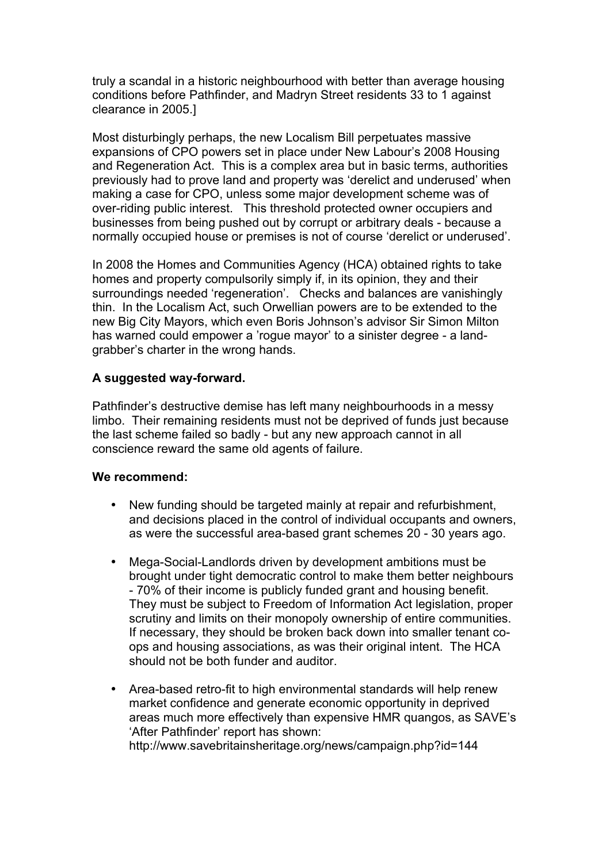truly a scandal in a historic neighbourhood with better than average housing conditions before Pathfinder, and Madryn Street residents 33 to 1 against clearance in 2005.]

Most disturbingly perhaps, the new Localism Bill perpetuates massive expansions of CPO powers set in place under New Labour's 2008 Housing and Regeneration Act. This is a complex area but in basic terms, authorities previously had to prove land and property was 'derelict and underused' when making a case for CPO, unless some major development scheme was of over-riding public interest. This threshold protected owner occupiers and businesses from being pushed out by corrupt or arbitrary deals - because a normally occupied house or premises is not of course 'derelict or underused'.

In 2008 the Homes and Communities Agency (HCA) obtained rights to take homes and property compulsorily simply if, in its opinion, they and their surroundings needed 'regeneration'. Checks and balances are vanishingly thin. In the Localism Act, such Orwellian powers are to be extended to the new Big City Mayors, which even Boris Johnson's advisor Sir Simon Milton has warned could empower a 'rogue mayor' to a sinister degree - a landgrabber's charter in the wrong hands.

#### **A suggested way-forward.**

Pathfinder's destructive demise has left many neighbourhoods in a messy limbo. Their remaining residents must not be deprived of funds just because the last scheme failed so badly - but any new approach cannot in all conscience reward the same old agents of failure.

#### **We recommend:**

- New funding should be targeted mainly at repair and refurbishment, and decisions placed in the control of individual occupants and owners, as were the successful area-based grant schemes 20 - 30 years ago.
- Mega-Social-Landlords driven by development ambitions must be brought under tight democratic control to make them better neighbours - 70% of their income is publicly funded grant and housing benefit. They must be subject to Freedom of Information Act legislation, proper scrutiny and limits on their monopoly ownership of entire communities. If necessary, they should be broken back down into smaller tenant coops and housing associations, as was their original intent. The HCA should not be both funder and auditor.
- Area-based retro-fit to high environmental standards will help renew market confidence and generate economic opportunity in deprived areas much more effectively than expensive HMR quangos, as SAVE's 'After Pathfinder' report has shown: http://www.savebritainsheritage.org/news/campaign.php?id=144